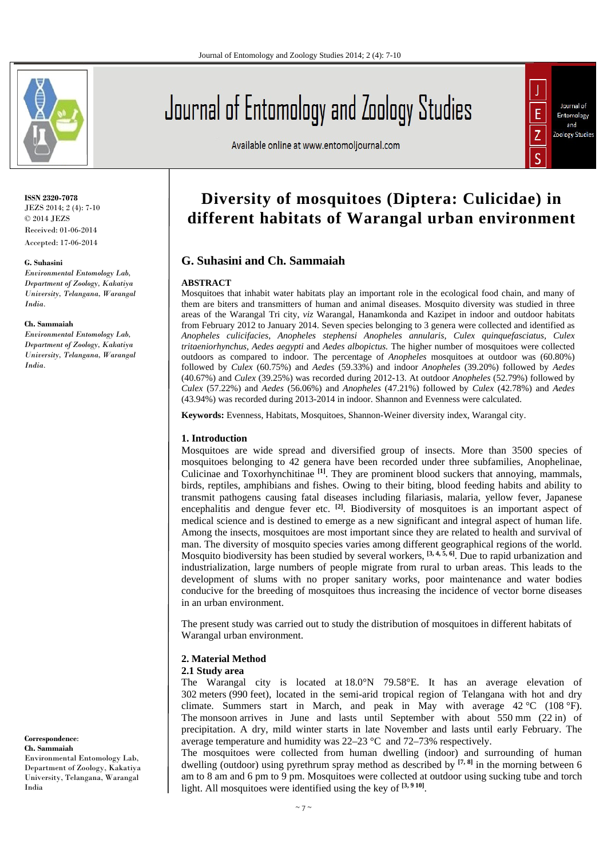

# Journal of Entomology and Zoology Studies

Available online at www.entomoljournal.com

# Journal of Ė Entomology and Ż Zoology Studies

## **ISSN 2320-7078** JEZS 2014; 2 (4): 7-10

© 2014 JEZS Received: 01-06-2014 Accepted: 17-06-2014

## **G. Suhasini**

*Environmental Entomology Lab, Department of Zoology, Kakatiya University, Telangana, Warangal India.* 

#### **Ch. Sammaiah**

*Environmental Entomology Lab, Department of Zoology, Kakatiya University, Telangana, Warangal India.* 

**Correspondence**: **Ch. Sammaiah**  Environmental Entomology Lab,

Department of Zoology, Kakatiya University, Telangana, Warangal India

# **Diversity of mosquitoes (Diptera: Culicidae) in different habitats of Warangal urban environment**

# **G. Suhasini and Ch. Sammaiah**

# **ABSTRACT**

Mosquitoes that inhabit water habitats play an important role in the ecological food chain, and many of them are biters and transmitters of human and animal diseases. Mosquito diversity was studied in three areas of the Warangal Tri city, *viz* Warangal, Hanamkonda and Kazipet in indoor and outdoor habitats from February 2012 to January 2014. Seven species belonging to 3 genera were collected and identified as *Anopheles culicifacies, Anopheles stephensi Anopheles annularis, Culex quinquefasciatus, Culex tritaeniorhynchus, Aedes aegypti* and *Aedes albopictus.* The higher number of mosquitoes were collected outdoors as compared to indoor. The percentage of *Anopheles* mosquitoes at outdoor was (60.80%) followed by *Culex* (60.75%) and *Aedes* (59.33%) and indoor *Anopheles* (39.20%) followed by *Aedes* (40.67%) and *Culex* (39.25%) was recorded during 2012-13. At outdoor *Anopheles* (52.79%) followed by *Culex* (57.22%) and *Aedes* (56.06%) and *Anopheles* (47.21%) followed by *Culex* (42.78%) and *Aedes*  (43.94%) was recorded during 2013-2014 in indoor. Shannon and Evenness were calculated.

**Keywords:** Evenness, Habitats, Mosquitoes, Shannon-Weiner diversity index, Warangal city.

# **1. Introduction**

Mosquitoes are wide spread and diversified group of insects. More than 3500 species of mosquitoes belonging to 42 genera have been recorded under three subfamilies, Anophelinae, Culicinae and Toxorhynchitinae **[1]**. They are prominent blood suckers that annoying, mammals, birds, reptiles, amphibians and fishes. Owing to their biting, blood feeding habits and ability to transmit pathogens causing fatal diseases including filariasis, malaria, yellow fever, Japanese encephalitis and dengue fever etc. <sup>[2]</sup>. Biodiversity of mosquitoes is an important aspect of medical science and is destined to emerge as a new significant and integral aspect of human life. Among the insects, mosquitoes are most important since they are related to health and survival of man. The diversity of mosquito species varies among different geographical regions of the world. Mosquito biodiversity has been studied by several workers, **[3, 4, 5, 6]**. Due to rapid urbanization and industrialization, large numbers of people migrate from rural to urban areas. This leads to the development of slums with no proper sanitary works, poor maintenance and water bodies conducive for the breeding of mosquitoes thus increasing the incidence of vector borne diseases in an urban environment.

The present study was carried out to study the distribution of mosquitoes in different habitats of Warangal urban environment.

# **2. Material Method**

# **2.1 Study area**

The Warangal city is located at 18.0°N 79.58°E. It has an average elevation of 302 meters (990 feet), located in the semi-arid tropical region of Telangana with hot and dry climate. Summers start in March, and peak in May with average 42 °C (108 °F). The monsoon arrives in June and lasts until September with about 550 mm (22 in) of precipitation. A dry, mild winter starts in late November and lasts until early February. The average temperature and humidity was 22–23 °C and 72–73% respectively.

The mosquitoes were collected from human dwelling (indoor) and surrounding of human dwelling (outdoor) using pyrethrum spray method as described by **[7, 8]** in the morning between 6 am to 8 am and 6 pm to 9 pm. Mosquitoes were collected at outdoor using sucking tube and torch light. All mosquitoes were identified using the key of **[3, 9 10]**.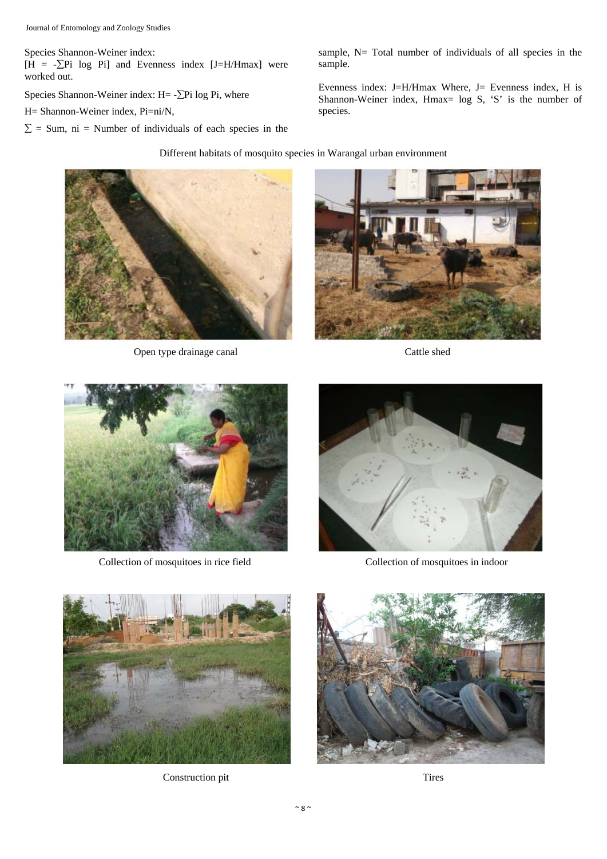Species Shannon-Weiner index:

 $[H = -\sum Pi \text{ log } Pi]$  and Evenness index [J=H/Hmax] were worked out.

Species Shannon-Weiner index:  $H = -\sum P_i$  log Pi, where

H= Shannon-Weiner index, Pi=ni/N,

 $\Sigma$  = Sum, ni = Number of individuals of each species in the

sample, N= Total number of individuals of all species in the sample.

Evenness index: J=H/Hmax Where, J= Evenness index, H is Shannon-Weiner index, Hmax= log S, 'S' is the number of species.

# Different habitats of mosquito species in Warangal urban environment



Open type drainage canal Cattle shed





Collection of mosquitoes in rice field Collection of mosquitoes in indoor





Construction pit Tires

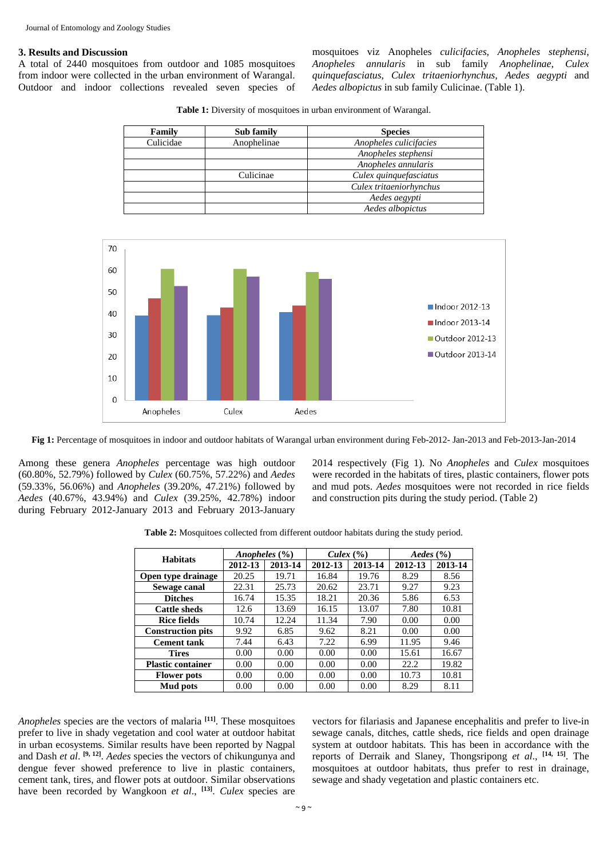# **3. Results and Discussion**

A total of 2440 mosquitoes from outdoor and 1085 mosquitoes from indoor were collected in the urban environment of Warangal. Outdoor and indoor collections revealed seven species of mosquitoes viz Anopheles *culicifacies, Anopheles stephensi*, *Anopheles annularis* in sub family *Anophelinae, Culex quinquefasciatus, Culex tritaeniorhynchus, Aedes aegypti* and *Aedes albopictus* in sub family Culicinae. (Table 1).

**Table 1:** Diversity of mosquitoes in urban environment of Warangal.

| Family    | Sub family  | <b>Species</b>          |
|-----------|-------------|-------------------------|
| Culicidae | Anophelinae | Anopheles culicifacies  |
|           |             | Anopheles stephensi     |
|           |             | Anopheles annularis     |
|           | Culicinae   | Culex quinquefasciatus  |
|           |             | Culex tritaeniorhynchus |
|           |             | Aedes aegypti           |
|           |             | Aedes albopictus        |



**Fig 1:** Percentage of mosquitoes in indoor and outdoor habitats of Warangal urban environment during Feb-2012- Jan-2013 and Feb-2013-Jan-2014

Among these genera *Anopheles* percentage was high outdoor (60.80%, 52.79%) followed by *Culex* (60.75%, 57.22%) and *Aedes* (59.33%, 56.06%) and *Anopheles* (39.20%, 47.21%) followed by *Aedes* (40.67%, 43.94%) and *Culex* (39.25%, 42.78%) indoor during February 2012-January 2013 and February 2013-January 2014 respectively (Fig 1). No *Anopheles* and *Culex* mosquitoes were recorded in the habitats of tires, plastic containers, flower pots and mud pots. *Aedes* mosquitoes were not recorded in rice fields and construction pits during the study period. (Table 2)

| Table 2: Mosquitoes collected from different outdoor habitats during the study period. |
|----------------------------------------------------------------------------------------|
|----------------------------------------------------------------------------------------|

| <b>Habitats</b>          | Anopheles $(\% )$ |         | Culex $(\% )$ |         | Aedes $(\% )$ |         |
|--------------------------|-------------------|---------|---------------|---------|---------------|---------|
|                          | 2012-13           | 2013-14 | 2012-13       | 2013-14 | 2012-13       | 2013-14 |
| Open type drainage       | 20.25             | 19.71   | 16.84         | 19.76   | 8.29          | 8.56    |
| Sewage canal             | 22.31             | 25.73   | 20.62         | 23.71   | 9.27          | 9.23    |
| <b>Ditches</b>           | 16.74             | 15.35   | 18.21         | 20.36   | 5.86          | 6.53    |
| <b>Cattle sheds</b>      | 12.6              | 13.69   | 16.15         | 13.07   | 7.80          | 10.81   |
| <b>Rice fields</b>       | 10.74             | 12.24   | 11.34         | 7.90    | 0.00          | 0.00    |
| <b>Construction pits</b> | 9.92              | 6.85    | 9.62          | 8.21    | 0.00          | 0.00    |
| <b>Cement tank</b>       | 7.44              | 6.43    | 7.22          | 6.99    | 11.95         | 9.46    |
| <b>Tires</b>             | 0.00              | 0.00    | 0.00          | 0.00    | 15.61         | 16.67   |
| <b>Plastic container</b> | 0.00              | 0.00    | 0.00          | 0.00    | 22.2          | 19.82   |
| <b>Flower pots</b>       | 0.00              | 0.00    | 0.00          | 0.00    | 10.73         | 10.81   |
| Mud pots                 | 0.00              | 0.00    | 0.00          | 0.00    | 8.29          | 8.11    |

*Anopheles* species are the vectors of malaria **[11]**. These mosquitoes prefer to live in shady vegetation and cool water at outdoor habitat in urban ecosystems. Similar results have been reported by Nagpal and Dash *et al*. **[9, 12]**. *Aedes* species the vectors of chikungunya and dengue fever showed preference to live in plastic containers, cement tank, tires, and flower pots at outdoor. Similar observations have been recorded by Wangkoon *et al*., **[13]**. *Culex* species are

vectors for filariasis and Japanese encephalitis and prefer to live-in sewage canals, ditches, cattle sheds, rice fields and open drainage system at outdoor habitats. This has been in accordance with the reports of Derraik and Slaney, Thongsripong *et al*., **[14, 15]**. The mosquitoes at outdoor habitats, thus prefer to rest in drainage, sewage and shady vegetation and plastic containers etc.